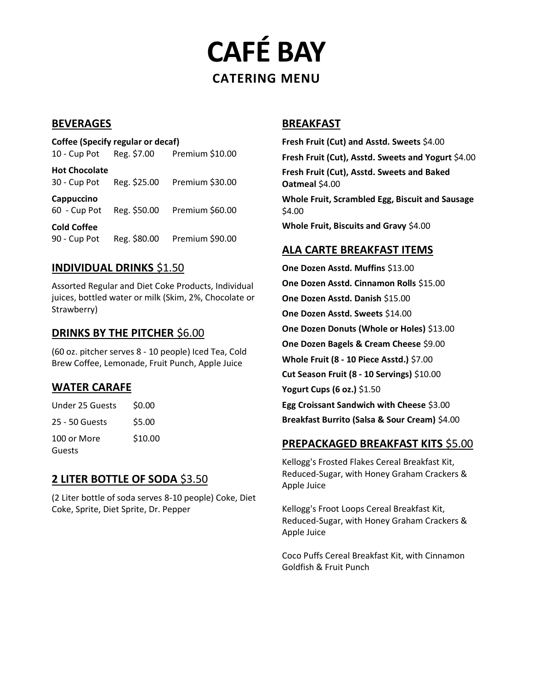**CAFÉ BAY CATERING MENU**

#### **BEVERAGES**

**Coffee (Specify regular or decaf)** 10 - Cup Pot Reg. \$7.00 Premium \$10.00 **Hot Chocolate** 30 - Cup Pot Reg. \$25.00 Premium \$30.00 **Cappuccino** 60 - Cup Pot Reg. \$50.00 Premium \$60.00 **Cold Coffee** 90 - Cup Pot Reg. \$80.00 Premium \$90.00

#### **INDIVIDUAL DRINKS** \$1.50

Assorted Regular and Diet Coke Products, Individual juices, bottled water or milk (Skim, 2%, Chocolate or Strawberry)

#### **DRINKS BY THE PITCHER** \$6.00

(60 oz. pitcher serves 8 - 10 people) Iced Tea, Cold Brew Coffee, Lemonade, Fruit Punch, Apple Juice

### **WATER CARAFE**

| Under 25 Guests | \$0.00  |
|-----------------|---------|
| 25 - 50 Guests  | \$5.00  |
| 100 or More     | \$10.00 |
| Guests          |         |

# **2 LITER BOTTLE OF SODA** \$3.50

(2 Liter bottle of soda serves 8-10 people) Coke, Diet Coke, Sprite, Diet Sprite, Dr. Pepper

#### **BREAKFAST**

**Fresh Fruit (Cut) and Asstd. Sweets** \$4.00 **Fresh Fruit (Cut), Asstd. Sweets and Yogurt** \$4.00 **Fresh Fruit (Cut), Asstd. Sweets and Baked Oatmeal** \$4.00 **Whole Fruit, Scrambled Egg, Biscuit and Sausage**  \$4.00 **Whole Fruit, Biscuits and Gravy** \$4.00

#### **ALA CARTE BREAKFAST ITEMS**

**One Dozen Asstd. Muffins** \$13.00 **One Dozen Asstd. Cinnamon Rolls** \$15.00 **One Dozen Asstd. Danish** \$15.00 **One Dozen Asstd. Sweets** \$14.00 **One Dozen Donuts (Whole or Holes)** \$13.00 **One Dozen Bagels & Cream Cheese** \$9.00 **Whole Fruit (8 - 10 Piece Asstd.)** \$7.00 **Cut Season Fruit (8 - 10 Servings)** \$10.00 **Yogurt Cups (6 oz.)** \$1.50 **Egg Croissant Sandwich with Cheese** \$3.00 **Breakfast Burrito (Salsa & Sour Cream)** \$4.00

### **PREPACKAGED BREAKFAST KITS** \$5.00

Kellogg's Frosted Flakes Cereal Breakfast Kit, Reduced-Sugar, with Honey Graham Crackers & Apple Juice

Kellogg's Froot Loops Cereal Breakfast Kit, Reduced-Sugar, with Honey Graham Crackers & Apple Juice

Coco Puffs Cereal Breakfast Kit, with Cinnamon Goldfish & Fruit Punch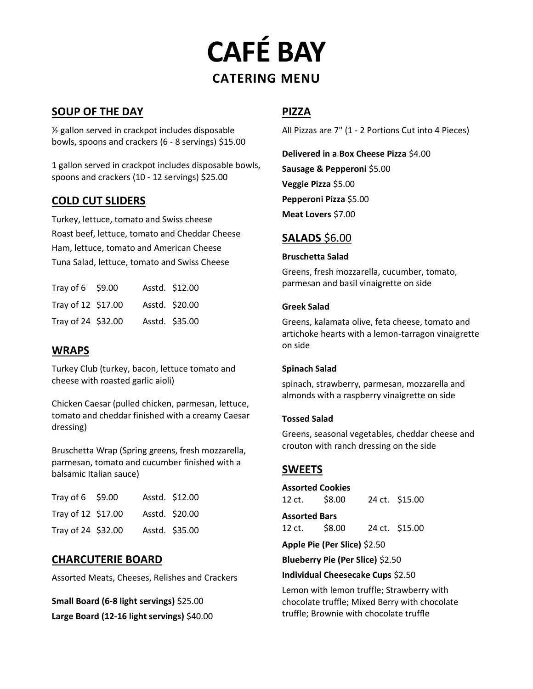# **CAFÉ BAY CATERING MENU**

# **SOUP OF THE DAY**

½ gallon served in crackpot includes disposable bowls, spoons and crackers (6 - 8 servings) \$15.00

1 gallon served in crackpot includes disposable bowls, spoons and crackers (10 - 12 servings) \$25.00

### **COLD CUT SLIDERS**

Turkey, lettuce, tomato and Swiss cheese Roast beef, lettuce, tomato and Cheddar Cheese Ham, lettuce, tomato and American Cheese Tuna Salad, lettuce, tomato and Swiss Cheese

| Tray of $6\quad$ \$9.00 |  | Asstd. \$12.00 |
|-------------------------|--|----------------|
| Tray of 12 \$17.00      |  | Asstd. \$20.00 |
| Tray of 24 \$32.00      |  | Asstd. \$35.00 |

# **WRAPS**

Turkey Club (turkey, bacon, lettuce tomato and cheese with roasted garlic aioli)

Chicken Caesar (pulled chicken, parmesan, lettuce, tomato and cheddar finished with a creamy Caesar dressing)

Bruschetta Wrap (Spring greens, fresh mozzarella, parmesan, tomato and cucumber finished with a balsamic Italian sauce)

| Tray of $6\quad$ \$9.00 |  | Asstd. \$12.00 |
|-------------------------|--|----------------|
| Tray of 12 \$17.00      |  | Asstd. \$20.00 |
| Tray of 24 \$32.00      |  | Asstd. \$35.00 |

### **CHARCUTERIE BOARD**

Assorted Meats, Cheeses, Relishes and Crackers

**Small Board (6-8 light servings)** \$25.00 **Large Board (12-16 light servings)** \$40.00

## **PIZZA**

All Pizzas are 7" (1 - 2 Portions Cut into 4 Pieces)

**Delivered in a Box Cheese Pizza** \$4.00 **Sausage & Pepperoni** \$5.00 **Veggie Pizza** \$5.00 **Pepperoni Pizza** \$5.00 **Meat Lovers** \$7.00

## **SALADS** \$6.00

#### **Bruschetta Salad**

Greens, fresh mozzarella, cucumber, tomato, parmesan and basil vinaigrette on side

#### **Greek Salad**

Greens, kalamata olive, feta cheese, tomato and artichoke hearts with a lemon-tarragon vinaigrette on side

#### **Spinach Salad**

spinach, strawberry, parmesan, mozzarella and almonds with a raspberry vinaigrette on side

#### **Tossed Salad**

Greens, seasonal vegetables, cheddar cheese and crouton with ranch dressing on the side

# **SWEETS**

**Assorted Cookies** 12 ct. \$8.00 24 ct. \$15.00 **Assorted Bars** 12 ct. \$8.00 24 ct. \$15.00

**Apple Pie (Per Slice)** \$2.50

**Blueberry Pie (Per Slice)** \$2.50

#### **Individual Cheesecake Cups** \$2.50

Lemon with lemon truffle; Strawberry with chocolate truffle; Mixed Berry with chocolate truffle; Brownie with chocolate truffle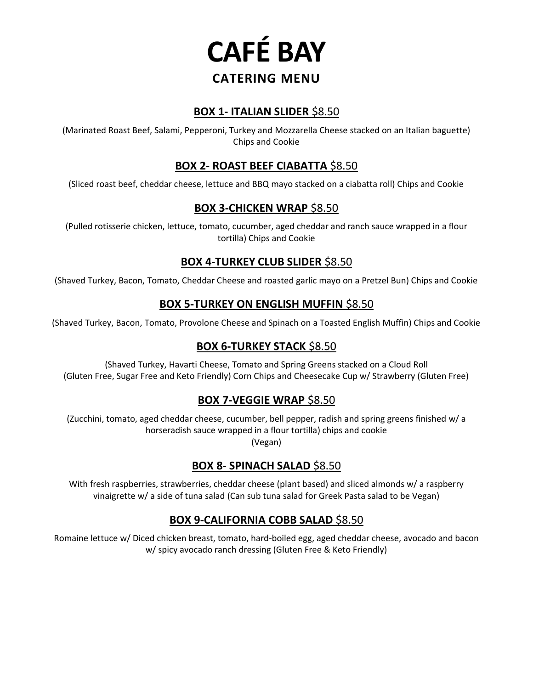

### **BOX 1- ITALIAN SLIDER** \$8.50

(Marinated Roast Beef, Salami, Pepperoni, Turkey and Mozzarella Cheese stacked on an Italian baguette) Chips and Cookie

## **BOX 2- ROAST BEEF CIABATTA** \$8.50

(Sliced roast beef, cheddar cheese, lettuce and BBQ mayo stacked on a ciabatta roll) Chips and Cookie

## **BOX 3-CHICKEN WRAP** \$8.50

(Pulled rotisserie chicken, lettuce, tomato, cucumber, aged cheddar and ranch sauce wrapped in a flour tortilla) Chips and Cookie

# **BOX 4-TURKEY CLUB SLIDER** \$8.50

(Shaved Turkey, Bacon, Tomato, Cheddar Cheese and roasted garlic mayo on a Pretzel Bun) Chips and Cookie

## **BOX 5-TURKEY ON ENGLISH MUFFIN** \$8.50

(Shaved Turkey, Bacon, Tomato, Provolone Cheese and Spinach on a Toasted English Muffin) Chips and Cookie

# **BOX 6-TURKEY STACK** \$8.50

(Shaved Turkey, Havarti Cheese, Tomato and Spring Greens stacked on a Cloud Roll (Gluten Free, Sugar Free and Keto Friendly) Corn Chips and Cheesecake Cup w/ Strawberry (Gluten Free)

### **BOX 7-VEGGIE WRAP** \$8.50

(Zucchini, tomato, aged cheddar cheese, cucumber, bell pepper, radish and spring greens finished w/ a horseradish sauce wrapped in a flour tortilla) chips and cookie (Vegan)

# **BOX 8- SPINACH SALAD** \$8.50

With fresh raspberries, strawberries, cheddar cheese (plant based) and sliced almonds w/ a raspberry vinaigrette w/ a side of tuna salad (Can sub tuna salad for Greek Pasta salad to be Vegan)

# **BOX 9-CALIFORNIA COBB SALAD** \$8.50

Romaine lettuce w/ Diced chicken breast, tomato, hard-boiled egg, aged cheddar cheese, avocado and bacon w/ spicy avocado ranch dressing (Gluten Free & Keto Friendly)